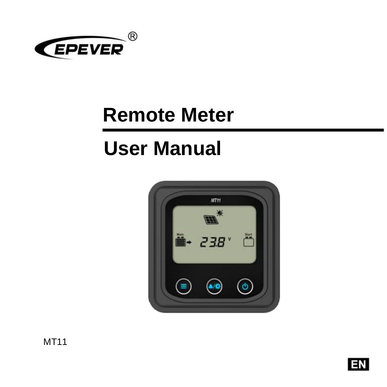

# **Remote Meter**

# **User Manual**



MT11

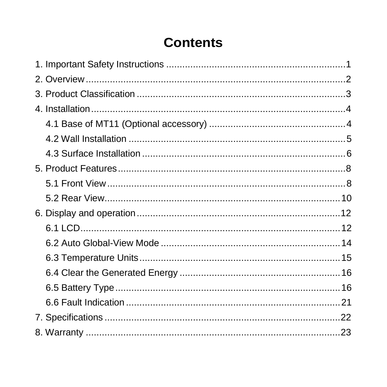## **Contents**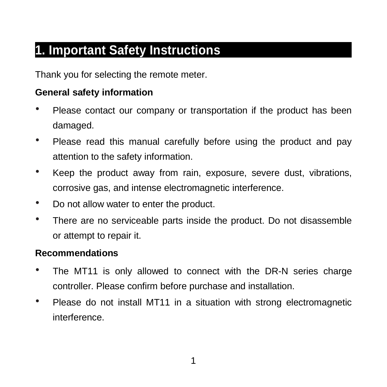# <span id="page-3-0"></span>**1. Important Safety Instructions**

Thank you for selecting the remote meter.

#### **General safety information**

- Please contact our company or transportation if the product has been damaged.
- Please read this manual carefully before using the product and pay attention to the safety information.
- Keep the product away from rain, exposure, severe dust, vibrations, corrosive gas, and intense electromagnetic interference.
- Do not allow water to enter the product.
- There are no serviceable parts inside the product. Do not disassemble or attempt to repair it.

#### **Recommendations**

- The MT11 is only allowed to connect with the DR-N series charge controller. Please confirm before purchase and installation.
- Please do not install MT11 in a situation with strong electromagnetic interference.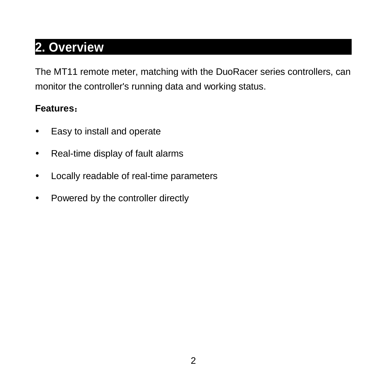# <span id="page-4-0"></span>**2. Overview**

The MT11 remote meter, matching with the DuoRacer series controllers, can monitor the controller's running data and working status.

#### **Features**:

- Easy to install and operate
- Real-time display of fault alarms
- Locally readable of real-time parameters
- Powered by the controller directly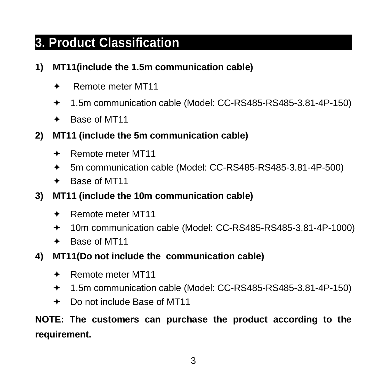# <span id="page-5-0"></span>**3. Product Classification**

#### **1) MT11(include the 1.5m communication cable)**

- Remote meter MT11
- 1.5m communication cable (Model: CC-RS485-RS485-3.81-4P-150)
- + Base of MT11
- **2) MT11 (include the 5m communication cable)**
	- Remote meter MT11
	- 5m communication cable (Model: CC-RS485-RS485-3.81-4P-500)
	- + Base of MT11
- **3) MT11 (include the 10m communication cable)**
	- Remote meter MT11
	- 10m communication cable (Model: CC-RS485-RS485-3.81-4P-1000)
	- Base of MT11
- **4) MT11(Do not include the communication cable)**
	- Remote meter MT11
	- 1.5m communication cable (Model: CC-RS485-RS485-3.81-4P-150)
	- Do not include Base of MT11

**NOTE: The customers can purchase the product according to the requirement.**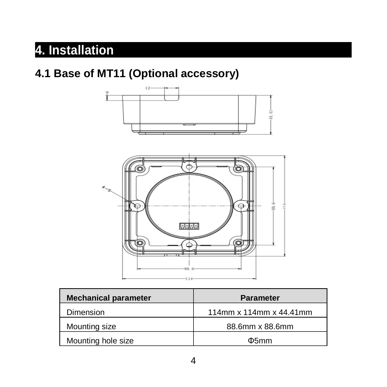# <span id="page-6-0"></span>**4. Installation**

### <span id="page-6-1"></span>**4.1 Base of MT11 (Optional accessory)**



| <b>Mechanical parameter</b> | Parameter               |
|-----------------------------|-------------------------|
| Dimension                   | 114mm x 114mm x 44.41mm |
| Mounting size               | 88.6mm x 88.6mm         |
| Mounting hole size          | $\Phi$ 5mm              |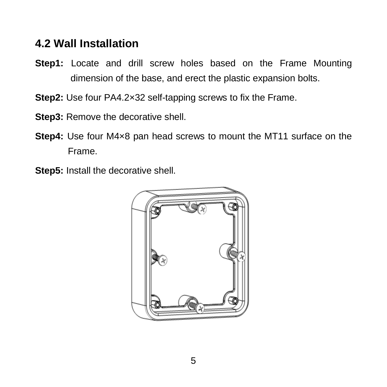#### <span id="page-7-0"></span>**4.2 Wall Installation**

- **Step1:** Locate and drill screw holes based on the Frame Mounting dimension of the base, and erect the plastic expansion bolts.
- **Step2:** Use four PA4.2×32 self-tapping screws to fix the Frame.
- **Step3:** Remove the decorative shell.
- **Step4:** Use four M4×8 pan head screws to mount the MT11 surface on the Frame.
- **Step5:** Install the decorative shell.

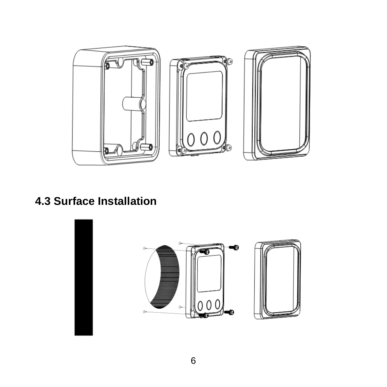

### <span id="page-8-0"></span>**4.3 Surface Installation**

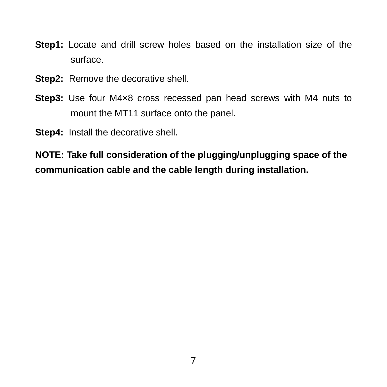- **Step1:** Locate and drill screw holes based on the installation size of the surface.
- Step2: Remove the decorative shell.
- **Step3:** Use four M4×8 cross recessed pan head screws with M4 nuts to mount the MT11 surface onto the panel.
- **Step4:** Install the decorative shell.

**NOTE: Take full consideration of the plugging/unplugging space of the communication cable and the cable length during installation.**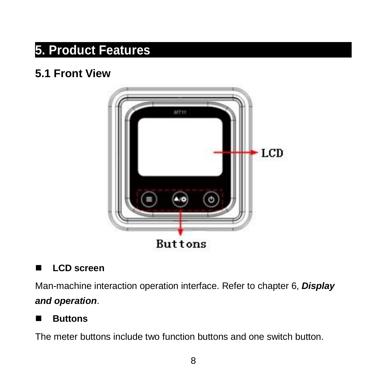# <span id="page-10-0"></span>**5. Product Features**

### <span id="page-10-1"></span>**5.1 Front View**



#### **LCD** screen

Man-machine interaction operation interface. Refer to chapter 6, *Display and operation*.

#### **Buttons**

The meter buttons include two function buttons and one switch button.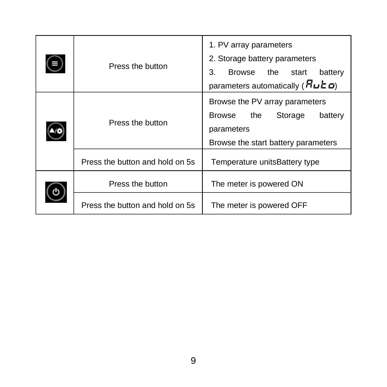| Ш | Press the button                | 1. PV array parameters<br>2. Storage battery parameters<br>3.<br><b>Browse</b><br>the<br>battery<br>start<br>parameters automatically $(R$ u $\epsilon$ o) |
|---|---------------------------------|------------------------------------------------------------------------------------------------------------------------------------------------------------|
|   | Press the button                | Browse the PV array parameters<br><b>Browse</b><br>the<br>Storage<br>battery<br>parameters<br>Browse the start battery parameters                          |
|   | Press the button and hold on 5s | Temperature units Battery type                                                                                                                             |
|   | Press the button                | The meter is powered ON                                                                                                                                    |
|   | Press the button and hold on 5s | The meter is powered OFF                                                                                                                                   |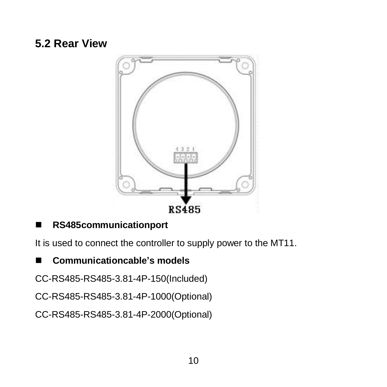### <span id="page-12-0"></span>**5.2 Rear View**



#### **RS485communicationport**

It is used to connect the controller to supply power to the MT11.

#### **Communicationcable's models**

CC-RS485-RS485-3.81-4P-150(Included)

CC-RS485-RS485-3.81-4P-1000(Optional)

CC-RS485-RS485-3.81-4P-2000(Optional)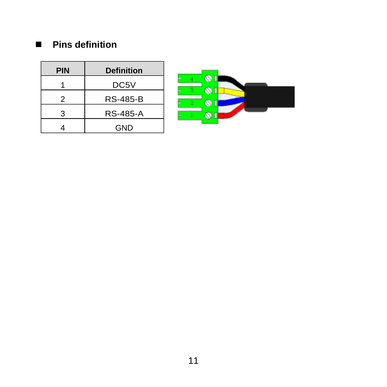#### **Pins definition**

| PIN | <b>Definition</b> |
|-----|-------------------|
|     | DC5V              |
| 2   | <b>RS-485-B</b>   |
| 3   | RS-485-A          |
|     | GND               |

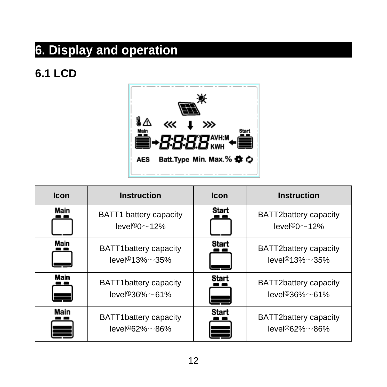# <span id="page-14-0"></span>**6. Display and operation**

### <span id="page-14-1"></span>**6.1 LCD**



| <b>Icon</b> | <b>Instruction</b>                                              | Icon  | <b>Instruction</b>                                                   |
|-------------|-----------------------------------------------------------------|-------|----------------------------------------------------------------------|
| Main        | BATT1 battery capacity<br>level $\degree$ 0 $\sim$ 12%          | Start | BATT2battery capacity<br>$level@0 \sim 12\%$                         |
| Main        | BATT1battery capacity<br>$level@13% \sim 35%$                   | Start | BATT2battery capacity<br>level <sup><math>913\%</math>~35%</sup>     |
| <b>Main</b> | <b>Start</b><br>BATT1battery capacity<br>$level@36\% \sim 61\%$ |       | BATT2battery capacity<br>$level@36\% \sim 61\%$                      |
| Main<br>Ξ   | BATT1battery capacity<br>$level@62% \sim 86%$                   | Start | BATT2battery capacity<br>level <sup><math>@62\%</math></sup> $~86\%$ |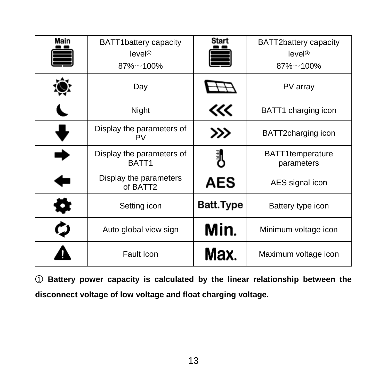| Main | BATT1battery capacity<br>level@<br>$87\% - 100\%$ | Start<br>≡ | BATT2battery capacity<br>level@<br>$87\% - 100\%$ |
|------|---------------------------------------------------|------------|---------------------------------------------------|
|      | Day                                               |            | PV array                                          |
|      | Night                                             | 巛          | BATT1 charging icon                               |
|      | Display the parameters of<br><b>PV</b>            | >>>        | BATT2charging icon                                |
|      | Display the parameters of<br>BATT <sub>1</sub>    | 訓          | BATT1temperature<br>parameters                    |
| ٠    | Display the parameters<br>of BATT2                | <b>AES</b> | AES signal icon                                   |
| Q    | Setting icon                                      | Batt.Type  | Battery type icon                                 |
| CJ   | Auto global view sign                             | Min.       | Minimum voltage icon                              |
|      | Fault Icon                                        | Max.       | Maximum voltage icon                              |

① **Battery power capacity is calculated by the linear relationship between the disconnect voltage of low voltage and float charging voltage.**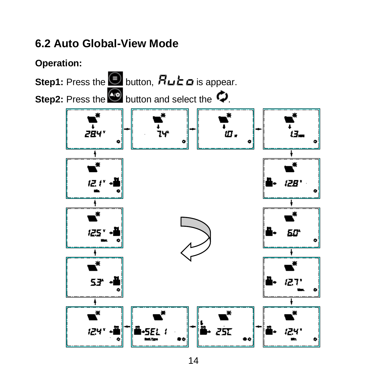### <span id="page-16-0"></span>**6.2 Auto Global-View Mode**

**Operation:** 

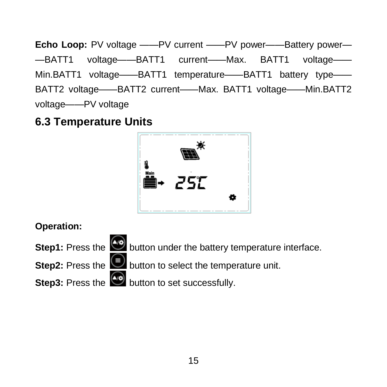**Echo Loop:** PV voltage ——PV current ——PV power——Battery power— —BATT1 voltage——BATT1 current——Max. BATT1 voltage—— Min.BATT1 voltage——BATT1 temperature——BATT1 battery type—— BATT2 voltage——BATT2 current——Max. BATT1 voltage——Min.BATT2 voltage——PV voltage

### <span id="page-17-0"></span>**6.3 Temperature Units**

![](_page_17_Picture_2.jpeg)

**Operation:**

**Step1:** Press the **button under the battery temperature interface.** 

**Step2:** Press the **button to select the temperature unit.** 

**Step3:** Press the  $\frac{dy}{dx}$  button to set successfully.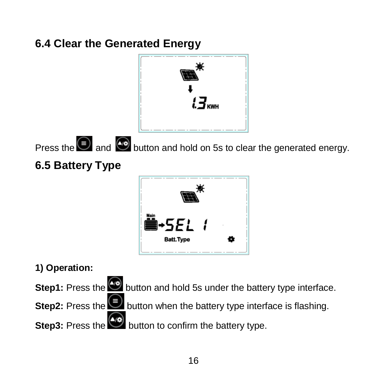## <span id="page-18-0"></span>**6.4 Clear the Generated Energy**

<span id="page-18-1"></span>![](_page_18_Figure_1.jpeg)

![](_page_18_Picture_2.jpeg)

**1) Operation:**

**Step1:** Press the **button and hold 5s under the battery type interface.** 

**Step2:** Press the button when the battery type interface is flashing.

**Step3:** Press the **button to confirm the battery type.**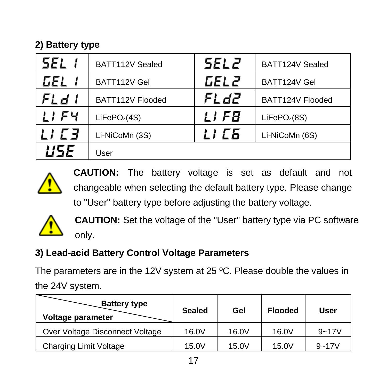#### **2) Battery type**

| 5EL 1            | BATT112V Sealed          | 5EL 2. | BATT124V Sealed          |
|------------------|--------------------------|--------|--------------------------|
| GEL 1            | BATT112V Gel             | GEL 2  | BATT124V Gel             |
| FL d I           | BATT112V Flooded         | FL d2. | BATT124V Flooded         |
| 11 F 4           | LiFePO <sub>4</sub> (4S) | LI F8  | LiFePO <sub>4</sub> (8S) |
| <i>' ' ' ' 3</i> | Li-NiCoMn (3S)           | LI ES  | Li-NiCoMn (6S)           |
|                  | User                     |        |                          |

![](_page_19_Picture_2.jpeg)

**CAUTION:** The battery voltage is set as default and not changeable when selecting the default battery type. Please change to "User" battery type before adjusting the battery voltage.

![](_page_19_Picture_4.jpeg)

**CAUTION:** Set the voltage of the "User" battery type via PC software only.

#### **3) Lead-acid Battery Control Voltage Parameters**

The parameters are in the 12V system at 25 °C. Please double the values in the 24V system.

| <b>Battery type</b><br>Voltage parameter | Sealed | Gel   | <b>Flooded</b> | User      |
|------------------------------------------|--------|-------|----------------|-----------|
| Over Voltage Disconnect Voltage          | 16.0V  | 16.0V | 16.0V          | $9 - 17V$ |
| Charging Limit Voltage                   | 15.0V  | 15.0V | 15.0V          | $9 - 17V$ |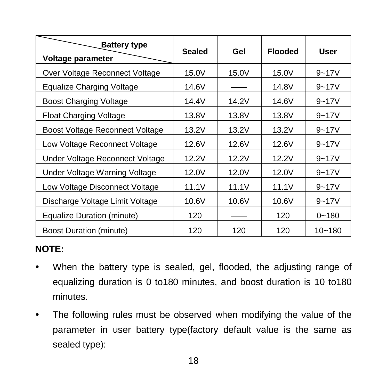| <b>Battery type</b><br>Voltage parameter | Sealed | Gel   | <b>Flooded</b> | User       |
|------------------------------------------|--------|-------|----------------|------------|
| Over Voltage Reconnect Voltage           | 15.0V  | 15.0V | 15.0V          | $9 - 17V$  |
| Equalize Charging Voltage                | 14.6V  |       | 14.8V          | $9 - 17V$  |
| Boost Charging Voltage                   | 14.4V  | 14.2V | 14.6V          | $9 - 17V$  |
| Float Charging Voltage                   | 13.8V  | 13.8V | 13.8V          | $9 - 17V$  |
| Boost Voltage Reconnect Voltage          | 13.2V  | 13.2V | 13.2V          | $9 - 17V$  |
| Low Voltage Reconnect Voltage            | 12.6V  | 12.6V | 12.6V          | $9 - 17V$  |
| Under Voltage Reconnect Voltage          | 12.2V  | 12.2V | 12.2V          | $9 - 17V$  |
| Under Voltage Warning Voltage            | 12.0V  | 12.0V | 12.0V          | $9 - 17V$  |
| Low Voltage Disconnect Voltage           | 11.1V  | 11.1V | 11.1V          | $9 - 17V$  |
| Discharge Voltage Limit Voltage          | 10.6V  | 10.6V | 10.6V          | $9 - 17V$  |
| Equalize Duration (minute)               | 120    |       | 120            | $0 - 180$  |
| <b>Boost Duration (minute)</b>           | 120    | 120   | 120            | $10 - 180$ |

#### **NOTE:**

- When the battery type is sealed, gel, flooded, the adjusting range of equalizing duration is 0 to180 minutes, and boost duration is 10 to180 minutes.
- The following rules must be observed when modifying the value of the parameter in user battery type(factory default value is the same as sealed type):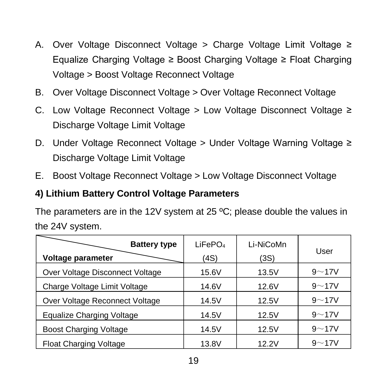- A. Over Voltage Disconnect Voltage > Charge Voltage Limit Voltage ≥ Equalize Charging Voltage ≥ Boost Charging Voltage ≥ Float Charging Voltage > Boost Voltage Reconnect Voltage
- B. Over Voltage Disconnect Voltage > Over Voltage Reconnect Voltage
- C. Low Voltage Reconnect Voltage > Low Voltage Disconnect Voltage ≥ Discharge Voltage Limit Voltage
- D. Under Voltage Reconnect Voltage > Under Voltage Warning Voltage ≥ Discharge Voltage Limit Voltage
- E. Boost Voltage Reconnect Voltage > Low Voltage Disconnect Voltage

#### **4) Lithium Battery Control Voltage Parameters**

The parameters are in the 12V system at 25 ºC; please double the values in the 24V system.

| <b>Battery type</b>             | LiFePO <sub>4</sub> | Li-NiCoMn | User      |
|---------------------------------|---------------------|-----------|-----------|
| Voltage parameter               | (4S)                | (3S)      |           |
| Over Voltage Disconnect Voltage | 15.6V               | 13.5V     | $9 - 17V$ |
| Charge Voltage Limit Voltage    | 14.6V               | 12.6V     | $9 - 17V$ |
| Over Voltage Reconnect Voltage  | 14.5V               | 12.5V     | $9 - 17V$ |
| Equalize Charging Voltage       | 14.5V               | 12.5V     | $9 - 17V$ |
| <b>Boost Charging Voltage</b>   | 14.5V               | 12.5V     | $9 - 17V$ |
| <b>Float Charging Voltage</b>   | 13.8V               | 12.2V     | $9 - 17V$ |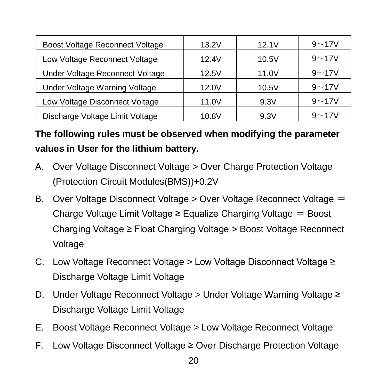| Boost Voltage Reconnect Voltage | 13.2V | 12.1V | $9 - 17V$ |
|---------------------------------|-------|-------|-----------|
| Low Voltage Reconnect Voltage   | 12.4V | 10.5V | $9 - 17V$ |
| Under Voltage Reconnect Voltage | 12.5V | 11.0V | $9 - 17V$ |
| Under Voltage Warning Voltage   | 12.0V | 10.5V | $9 - 17V$ |
| Low Voltage Disconnect Voltage  | 11.0V | 9.3V  | $9 - 17V$ |
| Discharge Voltage Limit Voltage | 10.8V | 9.3V  | $9 - 17V$ |

**The following rules must be observed when modifying the parameter values in User for the lithium battery.**

- A. Over Voltage Disconnect Voltage > Over Charge Protection Voltage (Protection Circuit Modules(BMS))+0.2V
- B. Over Voltage Disconnect Voltage > Over Voltage Reconnect Voltage = Charge Voltage Limit Voltage  $\geq$  Equalize Charging Voltage  $=$  Boost Charging Voltage ≥ Float Charging Voltage > Boost Voltage Reconnect Voltage
- C. Low Voltage Reconnect Voltage > Low Voltage Disconnect Voltage ≥ Discharge Voltage Limit Voltage
- D. Under Voltage Reconnect Voltage > Under Voltage Warning Voltage ≥ Discharge Voltage Limit Voltage
- E. Boost Voltage Reconnect Voltage > Low Voltage Reconnect Voltage
- F. Low Voltage Disconnect Voltage ≥ Over Discharge Protection Voltage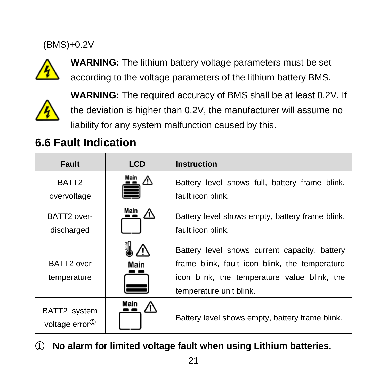#### (BMS)+0.2V

![](_page_23_Picture_1.jpeg)

**WARNING:** The lithium battery voltage parameters must be set according to the voltage parameters of the lithium battery BMS.

![](_page_23_Picture_3.jpeg)

**WARNING:** The required accuracy of BMS shall be at least 0.2V. If the deviation is higher than 0.2V, the manufacturer will assume no liability for any system malfunction caused by this.

### <span id="page-23-0"></span>**6.6 Fault Indication**

| Fault                                      | <b>LCD</b> | <b>Instruction</b>                                                                                                                                                         |
|--------------------------------------------|------------|----------------------------------------------------------------------------------------------------------------------------------------------------------------------------|
| BATT <sub>2</sub>                          | Main<br>∧  | Battery level shows full, battery frame blink,                                                                                                                             |
| overvoltage                                |            | fault icon blink.                                                                                                                                                          |
| BATT2 over-<br>discharged                  | Main<br>∧  | Battery level shows empty, battery frame blink,<br>fault icon blink.                                                                                                       |
| BATT2 over<br>temperature                  | Main       | Battery level shows current capacity, battery<br>frame blink, fault icon blink, the temperature<br>icon blink, the temperature value blink, the<br>temperature unit blink. |
| BATT2 system<br>voltage error <sup>1</sup> | Main       | Battery level shows empty, battery frame blink.                                                                                                                            |

① **No alarm for limited voltage fault when using Lithium batteries.**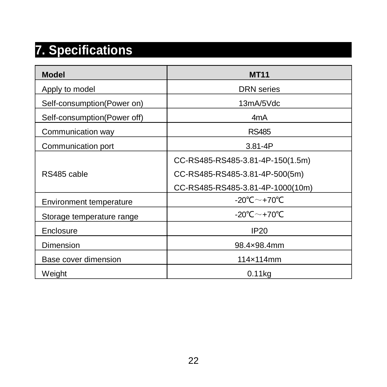# <span id="page-24-0"></span>**7. Specifications**

| <b>Model</b>                   | <b>MT11</b>                      |
|--------------------------------|----------------------------------|
| Apply to model                 | <b>DRN</b> series                |
| Self-consumption(Power on)     | 13mA/5Vdc                        |
| Self-consumption(Power off)    | 4mA                              |
| Communication way              | <b>RS485</b>                     |
| Communication port             | $3.81 - 4P$                      |
|                                | CC-RS485-RS485-3.81-4P-150(1.5m) |
| RS485 cable                    | CC-RS485-RS485-3.81-4P-500(5m)   |
|                                | CC-RS485-RS485-3.81-4P-1000(10m) |
| <b>Environment temperature</b> | -20°C $\sim$ +70°C               |
| Storage temperature range      | -20℃~+70℃                        |
| Enclosure                      | <b>IP20</b>                      |
| Dimension                      | 98.4×98.4mm                      |
| Base cover dimension           | 114×114mm                        |
| Weight                         | 0.11kg                           |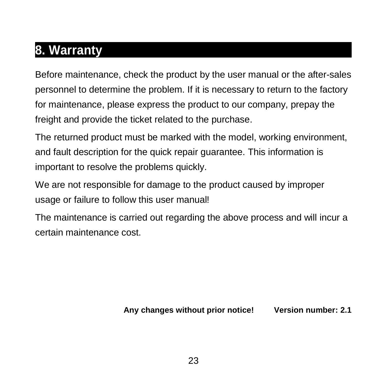# <span id="page-25-0"></span>**8. Warranty**

Before maintenance, check the product by the user manual or the after-sales personnel to determine the problem. If it is necessary to return to the factory for maintenance, please express the product to our company, prepay the freight and provide the ticket related to the purchase.

The returned product must be marked with the model, working environment, and fault description for the quick repair guarantee. This information is important to resolve the problems quickly.

We are not responsible for damage to the product caused by improper usage or failure to follow this user manual!

The maintenance is carried out regarding the above process and will incur a certain maintenance cost.

**Any changes without prior notice! Version number: 2.1**